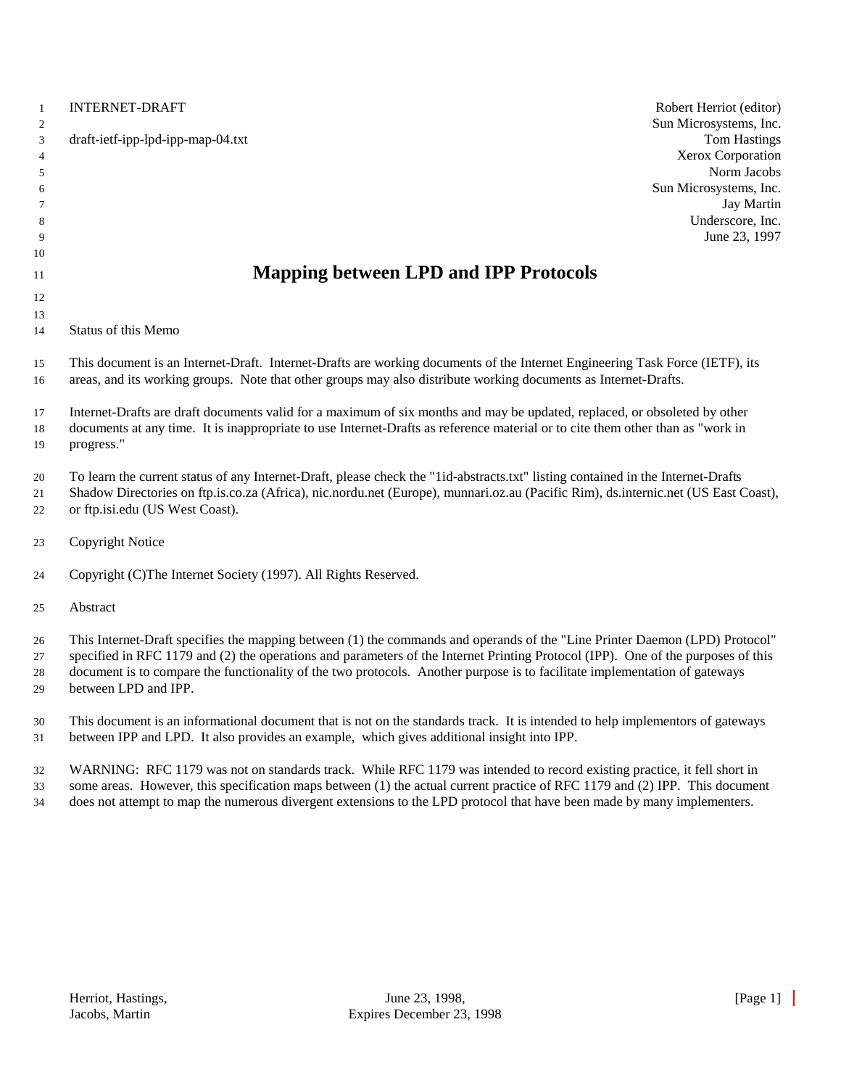| $\mathbf{1}$<br>$\mathbf{2}$                     | <b>INTERNET-DRAFT</b>                                                                                                                                                                                                                                                                                                                                                                                                                                                | Robert Herriot (editor)<br>Sun Microsystems, Inc.       |
|--------------------------------------------------|----------------------------------------------------------------------------------------------------------------------------------------------------------------------------------------------------------------------------------------------------------------------------------------------------------------------------------------------------------------------------------------------------------------------------------------------------------------------|---------------------------------------------------------|
| $\ensuremath{\mathbf{3}}$<br>$\overline{4}$<br>5 | draft-ietf-ipp-lpd-ipp-map-04.txt                                                                                                                                                                                                                                                                                                                                                                                                                                    | <b>Tom Hastings</b><br>Xerox Corporation<br>Norm Jacobs |
| 6                                                |                                                                                                                                                                                                                                                                                                                                                                                                                                                                      | Sun Microsystems, Inc.                                  |
| 7                                                |                                                                                                                                                                                                                                                                                                                                                                                                                                                                      | <b>Jay Martin</b>                                       |
| 8                                                |                                                                                                                                                                                                                                                                                                                                                                                                                                                                      | Underscore, Inc.                                        |
| 9<br>10                                          |                                                                                                                                                                                                                                                                                                                                                                                                                                                                      | June 23, 1997                                           |
|                                                  | <b>Mapping between LPD and IPP Protocols</b>                                                                                                                                                                                                                                                                                                                                                                                                                         |                                                         |
| 11                                               |                                                                                                                                                                                                                                                                                                                                                                                                                                                                      |                                                         |
| 12                                               |                                                                                                                                                                                                                                                                                                                                                                                                                                                                      |                                                         |
| 13<br>14                                         | Status of this Memo                                                                                                                                                                                                                                                                                                                                                                                                                                                  |                                                         |
| 15<br>16                                         | This document is an Internet-Draft. Internet-Drafts are working documents of the Internet Engineering Task Force (IETF), its<br>areas, and its working groups. Note that other groups may also distribute working documents as Internet-Drafts.                                                                                                                                                                                                                      |                                                         |
| 17                                               | Internet-Drafts are draft documents valid for a maximum of six months and may be updated, replaced, or obsoleted by other                                                                                                                                                                                                                                                                                                                                            |                                                         |
| 18                                               | documents at any time. It is inappropriate to use Internet-Drafts as reference material or to cite them other than as "work in                                                                                                                                                                                                                                                                                                                                       |                                                         |
| 19                                               | progress."                                                                                                                                                                                                                                                                                                                                                                                                                                                           |                                                         |
| 20                                               | To learn the current status of any Internet-Draft, please check the "1id-abstracts.txt" listing contained in the Internet-Drafts                                                                                                                                                                                                                                                                                                                                     |                                                         |
| 21                                               | Shadow Directories on ftp.is.co.za (Africa), nic.nordu.net (Europe), munnari.oz.au (Pacific Rim), ds.internic.net (US East Coast),                                                                                                                                                                                                                                                                                                                                   |                                                         |
| 22                                               | or ftp.isi.edu (US West Coast).                                                                                                                                                                                                                                                                                                                                                                                                                                      |                                                         |
| 23                                               | <b>Copyright Notice</b>                                                                                                                                                                                                                                                                                                                                                                                                                                              |                                                         |
| 24                                               | Copyright (C)The Internet Society (1997). All Rights Reserved.                                                                                                                                                                                                                                                                                                                                                                                                       |                                                         |
| 25                                               | Abstract                                                                                                                                                                                                                                                                                                                                                                                                                                                             |                                                         |
| 26                                               | This Internet-Draft specifies the mapping between (1) the commands and operands of the "Line Printer Daemon (LPD) Protocol"                                                                                                                                                                                                                                                                                                                                          |                                                         |
| 27                                               | specified in RFC 1179 and (2) the operations and parameters of the Internet Printing Protocol (IPP). One of the purposes of this                                                                                                                                                                                                                                                                                                                                     |                                                         |
| 28                                               | document is to compare the functionality of the two protocols. Another purpose is to facilitate implementation of gateways                                                                                                                                                                                                                                                                                                                                           |                                                         |
| 29                                               | between LPD and IPP.                                                                                                                                                                                                                                                                                                                                                                                                                                                 |                                                         |
| 30                                               | This document is an informational document that is not on the standards track. It is intended to help implementors of gateways                                                                                                                                                                                                                                                                                                                                       |                                                         |
| 31                                               | between IPP and LPD. It also provides an example, which gives additional insight into IPP.                                                                                                                                                                                                                                                                                                                                                                           |                                                         |
|                                                  |                                                                                                                                                                                                                                                                                                                                                                                                                                                                      |                                                         |
| 32                                               | WARNING: RFC 1179 was not on standards track. While RFC 1179 was intended to record existing practice, it fell short in<br>$\mathbf{H}$ , $\mathbf{H}$ , $\mathbf{H}$ , $\mathbf{H}$ , $\mathbf{H}$ , $\mathbf{H}$ , $\mathbf{H}$ , $\mathbf{H}$ , $\mathbf{H}$ , $\mathbf{H}$ , $\mathbf{H}$ , $\mathbf{H}$ , $\mathbf{H}$ , $\mathbf{H}$ , $\mathbf{H}$ , $\mathbf{H}$ , $\mathbf{H}$ , $\mathbf{H}$ , $\mathbf{H}$ , $\mathbf{H}$ , $\mathbf{H}$ , $\mathbf{H}$ , |                                                         |

 some areas. However, this specification maps between (1) the actual current practice of RFC 1179 and (2) IPP. This document does not attempt to map the numerous divergent extensions to the LPD protocol that have been made by many implementers.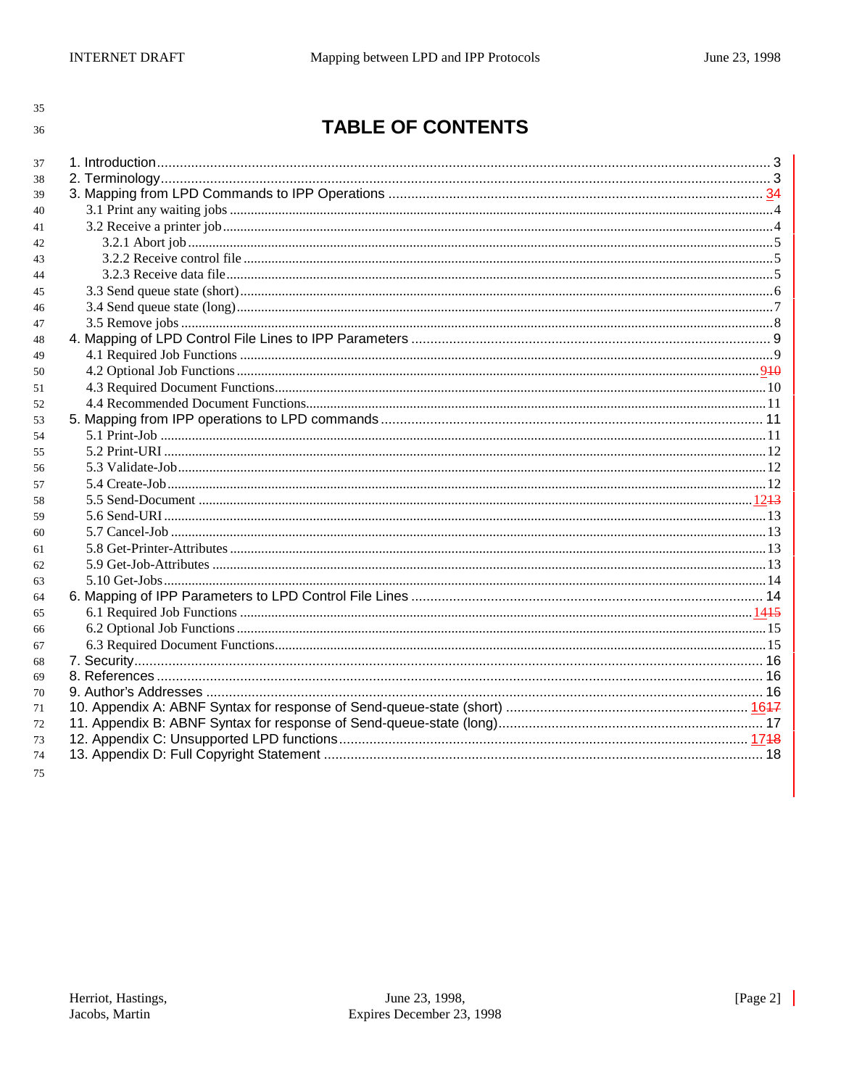# **TABLE OF CONTENTS**

| 37 |  |
|----|--|
| 38 |  |
| 39 |  |
| 40 |  |
| 41 |  |
| 42 |  |
| 43 |  |
| 44 |  |
| 45 |  |
| 46 |  |
| 47 |  |
| 48 |  |
| 49 |  |
| 50 |  |
| 51 |  |
| 52 |  |
| 53 |  |
| 54 |  |
| 55 |  |
| 56 |  |
| 57 |  |
| 58 |  |
| 59 |  |
| 60 |  |
| 61 |  |
| 62 |  |
| 63 |  |
| 64 |  |
| 65 |  |
| 66 |  |
| 67 |  |
| 68 |  |
| 69 |  |
| 70 |  |
| 71 |  |
| 72 |  |
| 73 |  |
| 74 |  |
| 75 |  |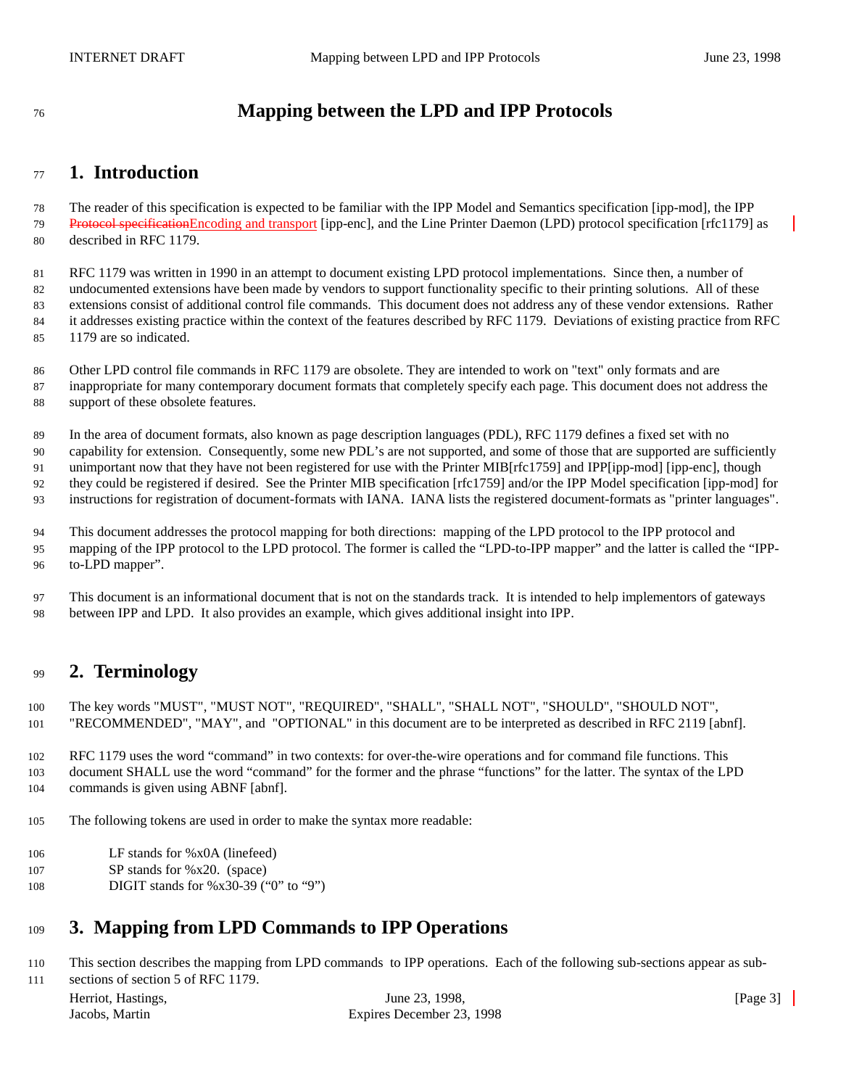# **Mapping between the LPD and IPP Protocols**

### **1. Introduction**

 The reader of this specification is expected to be familiar with the IPP Model and Semantics specification [ipp-mod], the IPP 79 Protocol specificationEncoding and transport [ipp-enc], and the Line Printer Daemon (LPD) protocol specification [rfc1179] as described in RFC 1179.

 RFC 1179 was written in 1990 in an attempt to document existing LPD protocol implementations. Since then, a number of undocumented extensions have been made by vendors to support functionality specific to their printing solutions. All of these extensions consist of additional control file commands. This document does not address any of these vendor extensions. Rather it addresses existing practice within the context of the features described by RFC 1179. Deviations of existing practice from RFC 1179 are so indicated.

 Other LPD control file commands in RFC 1179 are obsolete. They are intended to work on "text" only formats and are inappropriate for many contemporary document formats that completely specify each page. This document does not address the support of these obsolete features.

In the area of document formats, also known as page description languages (PDL), RFC 1179 defines a fixed set with no

 capability for extension. Consequently, some new PDL's are not supported, and some of those that are supported are sufficiently unimportant now that they have not been registered for use with the Printer MIB[rfc1759] and IPP[ipp-mod] [ipp-enc], though

they could be registered if desired. See the Printer MIB specification [rfc1759] and/or the IPP Model specification [ipp-mod] for

instructions for registration of document-formats with IANA. IANA lists the registered document-formats as "printer languages".

 This document addresses the protocol mapping for both directions: mapping of the LPD protocol to the IPP protocol and mapping of the IPP protocol to the LPD protocol. The former is called the "LPD-to-IPP mapper" and the latter is called the "IPP-to-LPD mapper".

 This document is an informational document that is not on the standards track. It is intended to help implementors of gateways between IPP and LPD. It also provides an example, which gives additional insight into IPP.

# **2. Terminology**

 The key words "MUST", "MUST NOT", "REQUIRED", "SHALL", "SHALL NOT", "SHOULD", "SHOULD NOT", "RECOMMENDED", "MAY", and "OPTIONAL" in this document are to be interpreted as described in RFC 2119 [abnf].

 RFC 1179 uses the word "command" in two contexts: for over-the-wire operations and for command file functions. This document SHALL use the word "command" for the former and the phrase "functions" for the latter. The syntax of the LPD commands is given using ABNF [abnf].

The following tokens are used in order to make the syntax more readable:

- LF stands for %x0A (linefeed)
- SP stands for %x20. (space)
- **DIGIT** stands for %x30-39 ("0" to "9")

# **3. Mapping from LPD Commands to IPP Operations**

This section describes the mapping from LPD commands to IPP operations. Each of the following sub-sections appear as sub-

Herriot, Hastings, The Communication of the Communication of the Communication of the Communication of the Communication of the Communication of the Communication of the Communication of the Communication of the Communicat sections of section 5 of RFC 1179.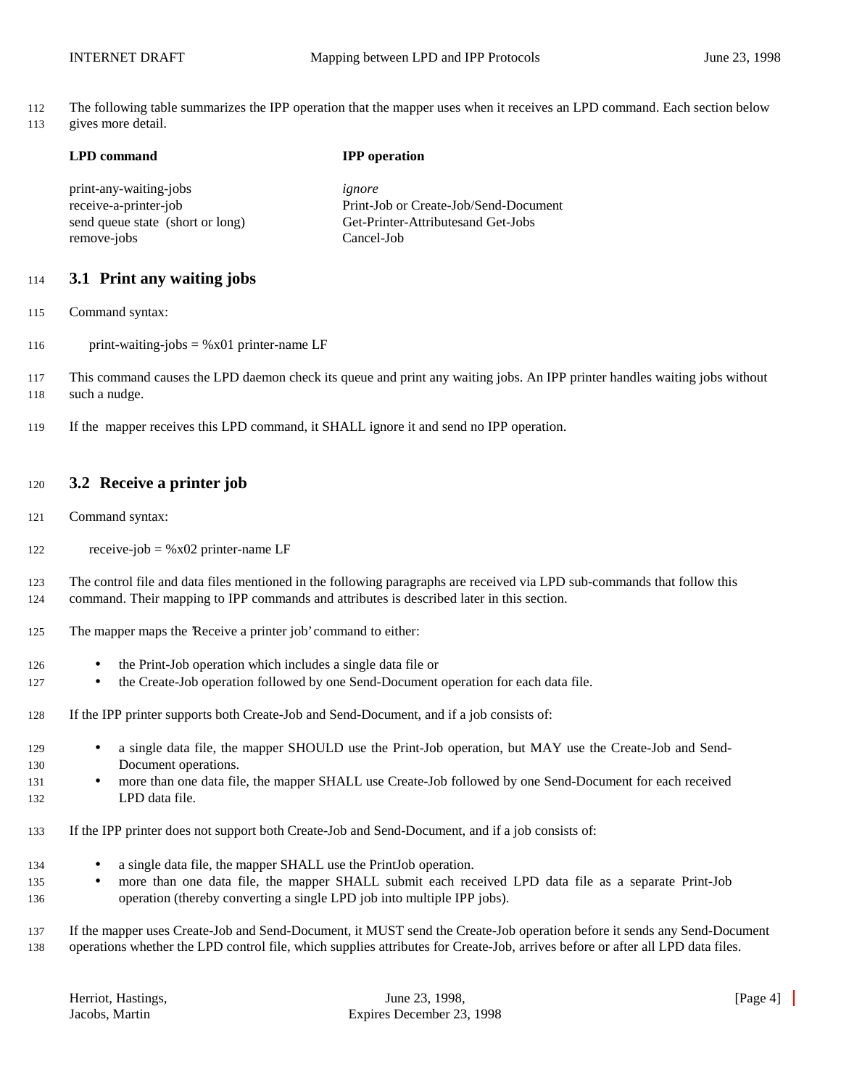The following table summarizes the IPP operation that the mapper uses when it receives an LPD command. Each section below gives more detail.

| <b>LPD</b> command               | <b>IPP</b> operation                  |
|----------------------------------|---------------------------------------|
| print-any-waiting-jobs           | ignore                                |
| receive-a-printer-job            | Print-Job or Create-Job/Send-Document |
| send queue state (short or long) | Get-Printer-Attributesand Get-Jobs    |
| remove-jobs                      | Cancel-Job                            |

#### **3.1 Print any waiting jobs**

- Command syntax:
- 116 print-waiting-jobs =  $%x01$  printer-name LF
- This command causes the LPD daemon check its queue and print any waiting jobs. An IPP printer handles waiting jobs without 118 such a nudge.
- If the mapper receives this LPD command, it SHALL ignore it and send no IPP operation.

#### **3.2 Receive a printer job**

- Command syntax:
- 122 receive-job =  $%x02$  printer-name LF

 The control file and data files mentioned in the following paragraphs are received via LPD sub-commands that follow this command. Their mapping to IPP commands and attributes is described later in this section.

- The mapper maps the 'Receive a printer job' command to either:
- the Print-Job operation which includes a single data file or
- the Create-Job operation followed by one Send-Document operation for each data file.
- If the IPP printer supports both Create-Job and Send-Document, and if a job consists of:
- a single data file, the mapper SHOULD use the Print-Job operation, but MAY use the Create-Job and Send-Document operations.
- more than one data file, the mapper SHALL use Create-Job followed by one Send-Document for each received LPD data file.
- If the IPP printer does not support both Create-Job and Send-Document, and if a job consists of:
- a single data file, the mapper SHALL use the PrintJob operation.
- 135 more than one data file, the mapper SHALL submit each received LPD data file as a separate Print-Job operation (thereby converting a single LPD job into multiple IPP jobs).

 If the mapper uses Create-Job and Send-Document, it MUST send the Create-Job operation before it sends any Send-Document operations whether the LPD control file, which supplies attributes for Create-Job, arrives before or after all LPD data files.

| Herriot, Hastings, |
|--------------------|
| Jacobs, Martin     |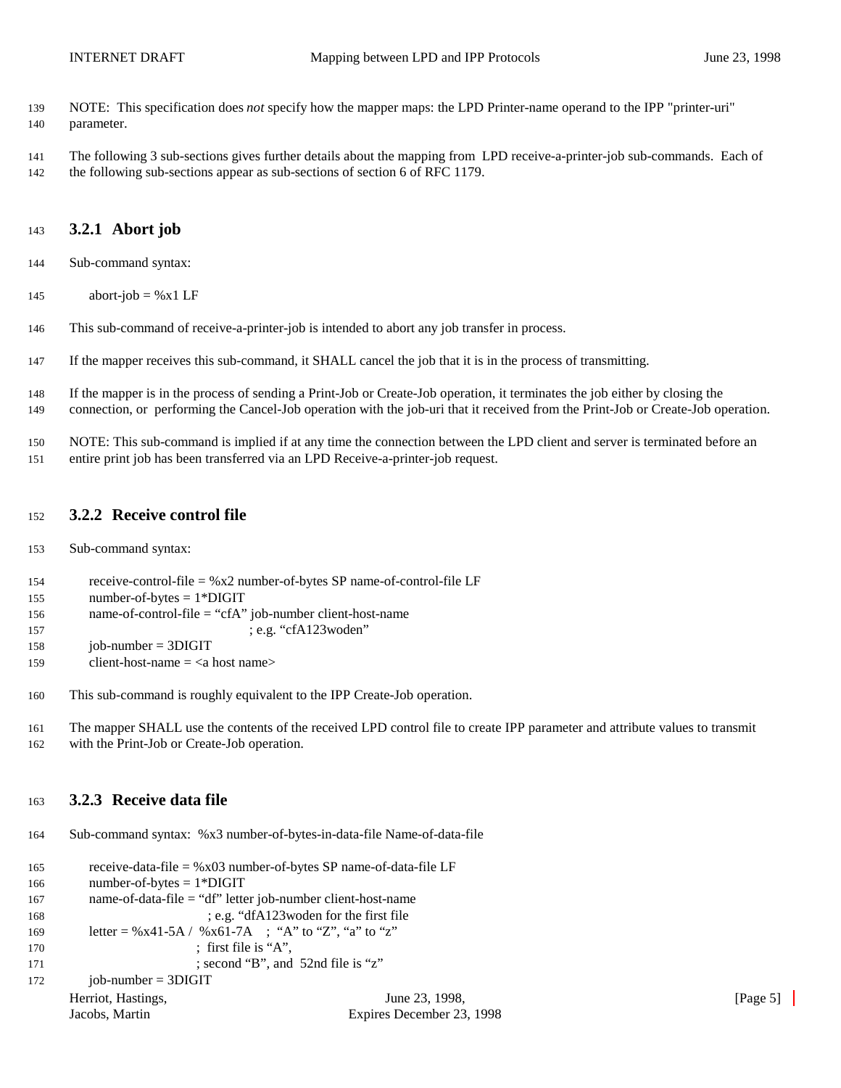- NOTE: This specification does *not* specify how the mapper maps: the LPD Printer-name operand to the IPP "printer-uri" parameter.
- The following 3 sub-sections gives further details about the mapping from LPD receive-a-printer-job sub-commands. Each of the following sub-sections appear as sub-sections of section 6 of RFC 1179.

#### **3.2.1 Abort job**

- Sub-command syntax:
- 145 abort-job =  $%x1$  LF
- This sub-command of receive-a-printer-job is intended to abort any job transfer in process.
- If the mapper receives this sub-command, it SHALL cancel the job that it is in the process of transmitting.
- If the mapper is in the process of sending a Print-Job or Create-Job operation, it terminates the job either by closing the connection, or performing the Cancel-Job operation with the job-uri that it received from the Print-Job or Create-Job operation.
- NOTE: This sub-command is implied if at any time the connection between the LPD client and server is terminated before an entire print job has been transferred via an LPD Receive-a-printer-job request.

#### **3.2.2 Receive control file**

- Sub-command syntax:
- receive-control-file = %x2 number-of-bytes SP name-of-control-file LF
- 155 number-of-bytes  $= 1*DIGIT$
- 156 name-of-control-file = "cfA" job-number client-host-name
- 157 ; e.g. "cfA123woden"
- iob-number = 3DIGIT
- 159 client-host-name  $=$  <a host name>
- This sub-command is roughly equivalent to the IPP Create-Job operation.
- The mapper SHALL use the contents of the received LPD control file to create IPP parameter and attribute values to transmit with the Print-Job or Create-Job operation.

#### **3.2.3 Receive data file**

Sub-command syntax: %x3 number-of-bytes-in-data-file Name-of-data-file

```
Herriot, Hastings, The Communication of the Communication of the Communication of the Communication of the Communication of the Communication of the Communication of the Communication of the Communication of the Communicat
      Jacobs, Martin Expires December 23, 1998
165 receive-data-file = %x03 number-of-bytes SP name-of-data-file LF
166 number-of-bytes = 1*DIGIT
167 name-of-data-file = "df" letter job-number client-host-name
168 ; e.g. "dfA123woden for the first file
169 letter = %x41-5A / %x61-7A ; "A" to "Z", "a" to "z"
170 ; first file is "A",
171 ; second "B", and 52nd file is "z"
172 job-number = 3DIGIT
```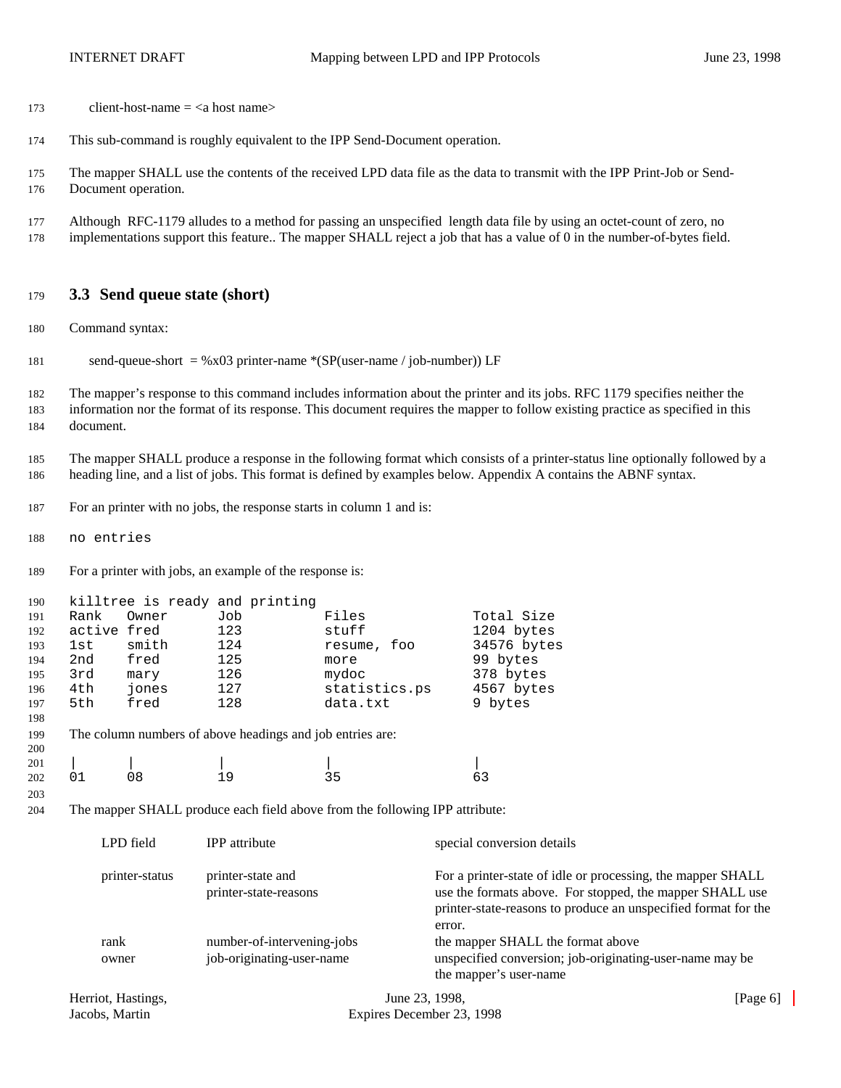- 173 client-host-name  $=$  <a host name>
- This sub-command is roughly equivalent to the IPP Send-Document operation.
- The mapper SHALL use the contents of the received LPD data file as the data to transmit with the IPP Print-Job or Send-Document operation.
- Although RFC-1179 alludes to a method for passing an unspecified length data file by using an octet-count of zero, no implementations support this feature.. The mapper SHALL reject a job that has a value of 0 in the number-of-bytes field.

#### **3.3 Send queue state (short)**

- Command syntax:
- 181 send-queue-short =  $\%x03$  printer-name  $*(SP(user-name / job-number))$  LF

 The mapper's response to this command includes information about the printer and its jobs. RFC 1179 specifies neither the information nor the format of its response. This document requires the mapper to follow existing practice as specified in this document.

 The mapper SHALL produce a response in the following format which consists of a printer-status line optionally followed by a heading line, and a list of jobs. This format is defined by examples below. Appendix A contains the ABNF syntax.

For an printer with no jobs, the response starts in column 1 and is:

no entries

For a printer with jobs, an example of the response is:

| 190 |             |       | killtree is ready and printing                            |                |             |
|-----|-------------|-------|-----------------------------------------------------------|----------------|-------------|
| 191 | Rank        | Owner | Job                                                       | Files          | Total Size  |
| 192 | active fred |       | 123                                                       | stuff          | 1204 bytes  |
| 193 | 1st         | smith | 124                                                       | foo<br>resume, | 34576 bytes |
| 194 | 2nd         | fred  | 125                                                       | more           | 99 bytes    |
| 195 | 3rd         | mary  | 126                                                       | mydoc          | 378 bytes   |
| 196 | 4th         | jones | 127                                                       | statistics.ps  | 4567 bytes  |
| 197 | 5th         | fred  | 128                                                       | data.txt       | 9 bytes     |
| 198 |             |       |                                                           |                |             |
| 199 |             |       | The column numbers of above headings and job entries are: |                |             |
| 200 |             |       |                                                           |                |             |
| 201 |             |       |                                                           |                |             |
| 202 |             | 08    | 19                                                        | 35             | 63          |

The mapper SHALL produce each field above from the following IPP attribute:

| LPD field      | <b>IPP</b> attribute                                    | special conversion details                                                                                                                                                                          |
|----------------|---------------------------------------------------------|-----------------------------------------------------------------------------------------------------------------------------------------------------------------------------------------------------|
| printer-status | printer-state and<br>printer-state-reasons              | For a printer-state of idle or processing, the mapper SHALL<br>use the formats above. For stopped, the mapper SHALL use<br>printer-state-reasons to produce an unspecified format for the<br>error. |
| rank<br>owner  | number-of-intervening-jobs<br>job-originating-user-name | the mapper SHALL the format above<br>unspecified conversion; job-originating-user-name may be<br>the mapper's user-name                                                                             |
|                |                                                         |                                                                                                                                                                                                     |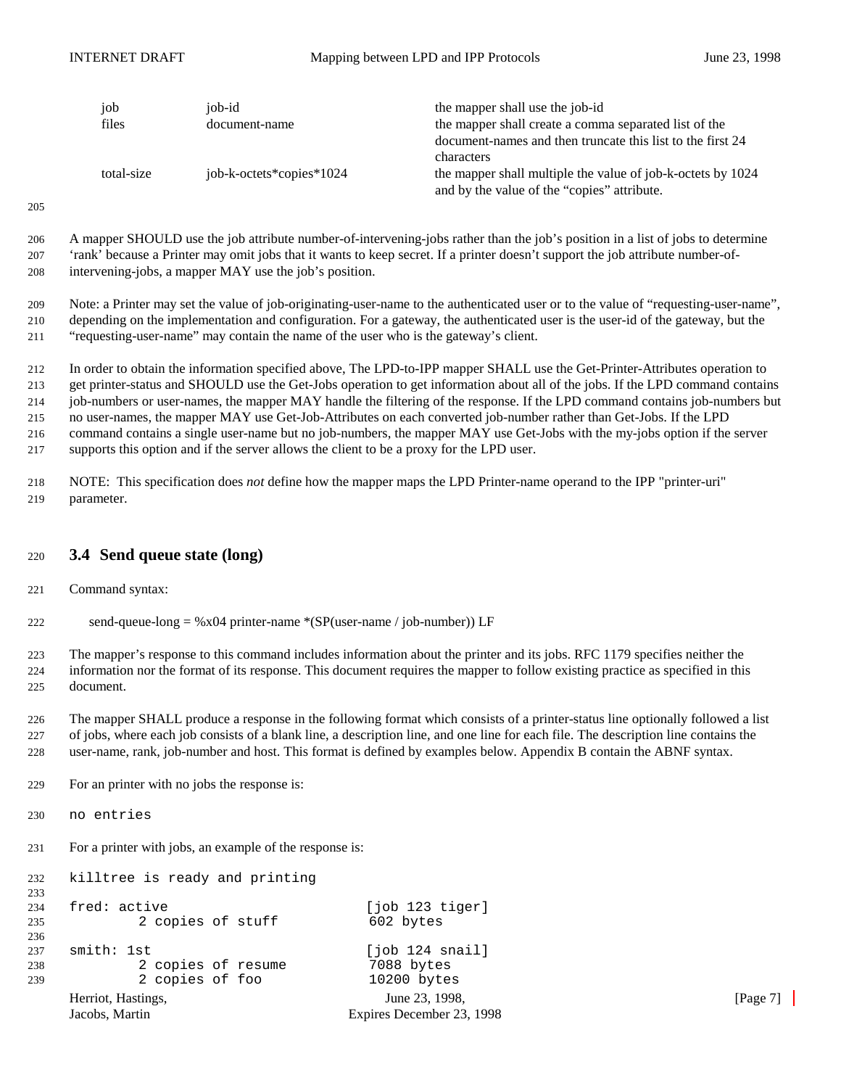| job<br>files | job-id<br>document-name  | the mapper shall use the job-id<br>the mapper shall create a comma separated list of the                   |
|--------------|--------------------------|------------------------------------------------------------------------------------------------------------|
|              |                          | document-names and then truncate this list to the first 24<br>characters                                   |
| total-size   | job-k-octets*copies*1024 | the mapper shall multiple the value of job-k-octets by 1024<br>and by the value of the "copies" attribute. |

 A mapper SHOULD use the job attribute number-of-intervening-jobs rather than the job's position in a list of jobs to determine 'rank' because a Printer may omit jobs that it wants to keep secret. If a printer doesn't support the job attribute number-of-intervening-jobs, a mapper MAY use the job's position.

 Note: a Printer may set the value of job-originating-user-name to the authenticated user or to the value of "requesting-user-name", depending on the implementation and configuration. For a gateway, the authenticated user is the user-id of the gateway, but the "requesting-user-name" may contain the name of the user who is the gateway's client.

 In order to obtain the information specified above, The LPD-to-IPP mapper SHALL use the Get-Printer-Attributes operation to get printer-status and SHOULD use the Get-Jobs operation to get information about all of the jobs. If the LPD command contains job-numbers or user-names, the mapper MAY handle the filtering of the response. If the LPD command contains job-numbers but no user-names, the mapper MAY use Get-Job-Attributes on each converted job-number rather than Get-Jobs. If the LPD command contains a single user-name but no job-numbers, the mapper MAY use Get-Jobs with the my-jobs option if the server supports this option and if the server allows the client to be a proxy for the LPD user.

 NOTE: This specification does *not* define how the mapper maps the LPD Printer-name operand to the IPP "printer-uri" parameter.

#### **3.4 Send queue state (long)**

Command syntax:

222 send-queue-long = %x04 printer-name  $*(SP(user-name / job-number)) LF$ 

 The mapper's response to this command includes information about the printer and its jobs. RFC 1179 specifies neither the information nor the format of its response. This document requires the mapper to follow existing practice as specified in this document.

 The mapper SHALL produce a response in the following format which consists of a printer-status line optionally followed a list of jobs, where each job consists of a blank line, a description line, and one line for each file. The description line contains the user-name, rank, job-number and host. This format is defined by examples below. Appendix B contain the ABNF syntax.

For an printer with no jobs the response is:

no entries

For a printer with jobs, an example of the response is:

killtree is ready and printing

```
Herriot, Hastings, The Communication of the Communication of the Communication of the Communication of the Communication of the Communication of the Communication of the Communication of the Communication of the Communicat
     Jacobs, Martin Expires December 23, 1998
233
234 fred: active [job 123 tiger]
235 2 copies of stuff 602 bytes
236
237 smith: 1st [job 124 snail]<br>238 2 copies of resume 7088 bytes
                2 copies of resume
239 2 copies of foo 10200 bytes
```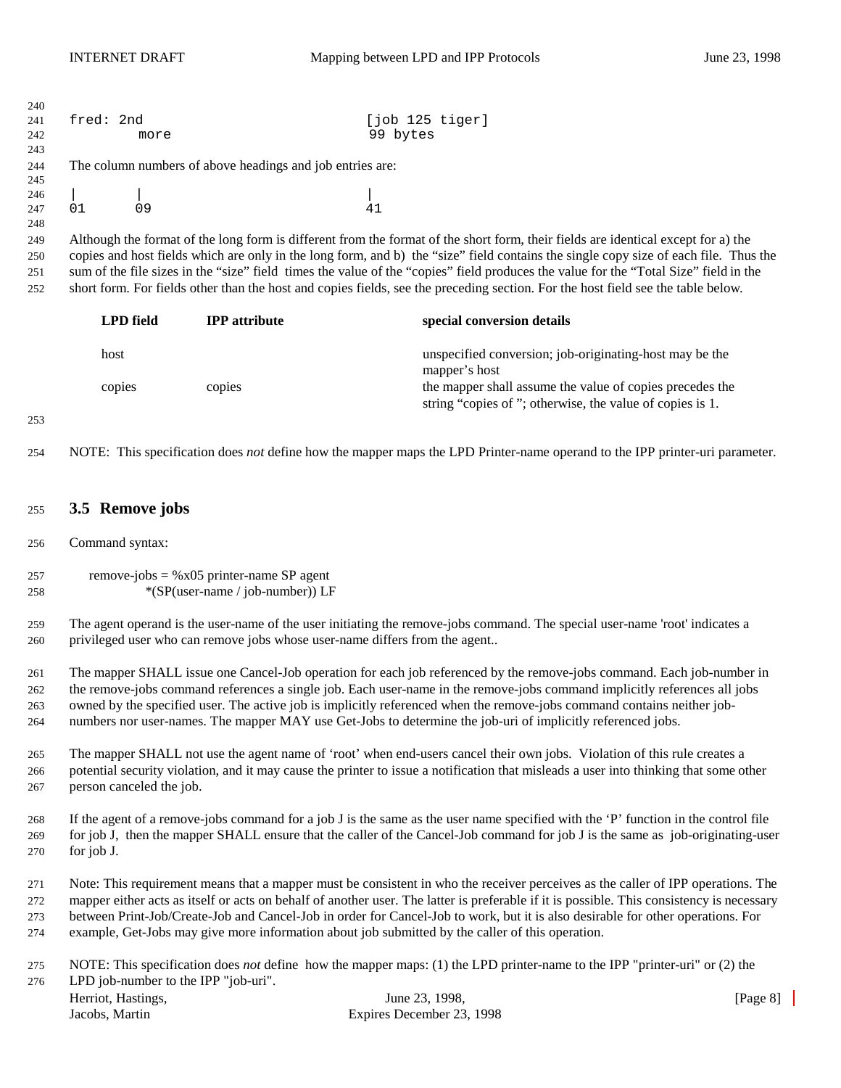| 240<br>241<br>242               | fred: 2nd                                                                                                                                                                                                                                                                                                                                                                                                                                                                                                            | more                                                      |                                                                            | [job 125 tiger]<br>99 bytes                                                                                                                                                                                                                                                                                                                                                                                                                                                                                                                           |          |  |  |
|---------------------------------|----------------------------------------------------------------------------------------------------------------------------------------------------------------------------------------------------------------------------------------------------------------------------------------------------------------------------------------------------------------------------------------------------------------------------------------------------------------------------------------------------------------------|-----------------------------------------------------------|----------------------------------------------------------------------------|-------------------------------------------------------------------------------------------------------------------------------------------------------------------------------------------------------------------------------------------------------------------------------------------------------------------------------------------------------------------------------------------------------------------------------------------------------------------------------------------------------------------------------------------------------|----------|--|--|
| 243<br>244                      |                                                                                                                                                                                                                                                                                                                                                                                                                                                                                                                      | The column numbers of above headings and job entries are: |                                                                            |                                                                                                                                                                                                                                                                                                                                                                                                                                                                                                                                                       |          |  |  |
| 245<br>246<br>247               | 01                                                                                                                                                                                                                                                                                                                                                                                                                                                                                                                   | 09                                                        |                                                                            | 41                                                                                                                                                                                                                                                                                                                                                                                                                                                                                                                                                    |          |  |  |
| 248<br>249<br>250<br>251<br>252 |                                                                                                                                                                                                                                                                                                                                                                                                                                                                                                                      |                                                           |                                                                            | Although the format of the long form is different from the format of the short form, their fields are identical except for a) the<br>copies and host fields which are only in the long form, and b) the "size" field contains the single copy size of each file. Thus the<br>sum of the file sizes in the "size" field times the value of the "copies" field produces the value for the "Total Size" field in the<br>short form. For fields other than the host and copies fields, see the preceding section. For the host field see the table below. |          |  |  |
|                                 |                                                                                                                                                                                                                                                                                                                                                                                                                                                                                                                      | <b>LPD</b> field                                          | <b>IPP</b> attribute                                                       | special conversion details                                                                                                                                                                                                                                                                                                                                                                                                                                                                                                                            |          |  |  |
|                                 | host                                                                                                                                                                                                                                                                                                                                                                                                                                                                                                                 |                                                           |                                                                            | unspecified conversion; job-originating-host may be the<br>mapper's host                                                                                                                                                                                                                                                                                                                                                                                                                                                                              |          |  |  |
|                                 |                                                                                                                                                                                                                                                                                                                                                                                                                                                                                                                      | copies                                                    | copies                                                                     | the mapper shall assume the value of copies precedes the<br>string "copies of"; otherwise, the value of copies is 1.                                                                                                                                                                                                                                                                                                                                                                                                                                  |          |  |  |
| 253                             |                                                                                                                                                                                                                                                                                                                                                                                                                                                                                                                      |                                                           |                                                                            |                                                                                                                                                                                                                                                                                                                                                                                                                                                                                                                                                       |          |  |  |
| 254                             |                                                                                                                                                                                                                                                                                                                                                                                                                                                                                                                      |                                                           |                                                                            | NOTE: This specification does not define how the mapper maps the LPD Printer-name operand to the IPP printer-uri parameter.                                                                                                                                                                                                                                                                                                                                                                                                                           |          |  |  |
| 255                             |                                                                                                                                                                                                                                                                                                                                                                                                                                                                                                                      | 3.5 Remove jobs                                           |                                                                            |                                                                                                                                                                                                                                                                                                                                                                                                                                                                                                                                                       |          |  |  |
| 256                             |                                                                                                                                                                                                                                                                                                                                                                                                                                                                                                                      | Command syntax:                                           |                                                                            |                                                                                                                                                                                                                                                                                                                                                                                                                                                                                                                                                       |          |  |  |
| 257<br>258                      | remove-jobs = $%x05$ printer-name SP agent<br>*(SP(user-name / job-number)) LF                                                                                                                                                                                                                                                                                                                                                                                                                                       |                                                           |                                                                            |                                                                                                                                                                                                                                                                                                                                                                                                                                                                                                                                                       |          |  |  |
| 259<br>260                      |                                                                                                                                                                                                                                                                                                                                                                                                                                                                                                                      |                                                           | privileged user who can remove jobs whose user-name differs from the agent | The agent operand is the user-name of the user initiating the remove-jobs command. The special user-name 'root' indicates a                                                                                                                                                                                                                                                                                                                                                                                                                           |          |  |  |
| 261<br>262<br>263<br>264        | The mapper SHALL issue one Cancel-Job operation for each job referenced by the remove-jobs command. Each job-number in<br>the remove-jobs command references a single job. Each user-name in the remove-jobs command implicitly references all jobs<br>owned by the specified user. The active job is implicitly referenced when the remove-jobs command contains neither job-<br>numbers nor user-names. The mapper MAY use Get-Jobs to determine the job-uri of implicitly referenced jobs.                        |                                                           |                                                                            |                                                                                                                                                                                                                                                                                                                                                                                                                                                                                                                                                       |          |  |  |
| 265<br>266<br>267               | The mapper SHALL not use the agent name of 'root' when end-users cancel their own jobs. Violation of this rule creates a<br>potential security violation, and it may cause the printer to issue a notification that misleads a user into thinking that some other<br>person canceled the job.                                                                                                                                                                                                                        |                                                           |                                                                            |                                                                                                                                                                                                                                                                                                                                                                                                                                                                                                                                                       |          |  |  |
| 268<br>269<br>270               | If the agent of a remove-jobs command for a job J is the same as the user name specified with the 'P' function in the control file<br>for job J, then the mapper SHALL ensure that the caller of the Cancel-Job command for job J is the same as job-originating-user<br>for job J.                                                                                                                                                                                                                                  |                                                           |                                                                            |                                                                                                                                                                                                                                                                                                                                                                                                                                                                                                                                                       |          |  |  |
| 271<br>272<br>273<br>274        | Note: This requirement means that a mapper must be consistent in who the receiver perceives as the caller of IPP operations. The<br>mapper either acts as itself or acts on behalf of another user. The latter is preferable if it is possible. This consistency is necessary<br>between Print-Job/Create-Job and Cancel-Job in order for Cancel-Job to work, but it is also desirable for other operations. For<br>example, Get-Jobs may give more information about job submitted by the caller of this operation. |                                                           |                                                                            |                                                                                                                                                                                                                                                                                                                                                                                                                                                                                                                                                       |          |  |  |
| 275<br>276                      |                                                                                                                                                                                                                                                                                                                                                                                                                                                                                                                      | LPD job-number to the IPP "job-uri".                      |                                                                            | NOTE: This specification does not define how the mapper maps: (1) the LPD printer-name to the IPP "printer-uri" or (2) the                                                                                                                                                                                                                                                                                                                                                                                                                            |          |  |  |
|                                 | Jacobs, Martin                                                                                                                                                                                                                                                                                                                                                                                                                                                                                                       | Herriot, Hastings,                                        |                                                                            | June 23, 1998,<br>Expires December 23, 1998                                                                                                                                                                                                                                                                                                                                                                                                                                                                                                           | [Page 8] |  |  |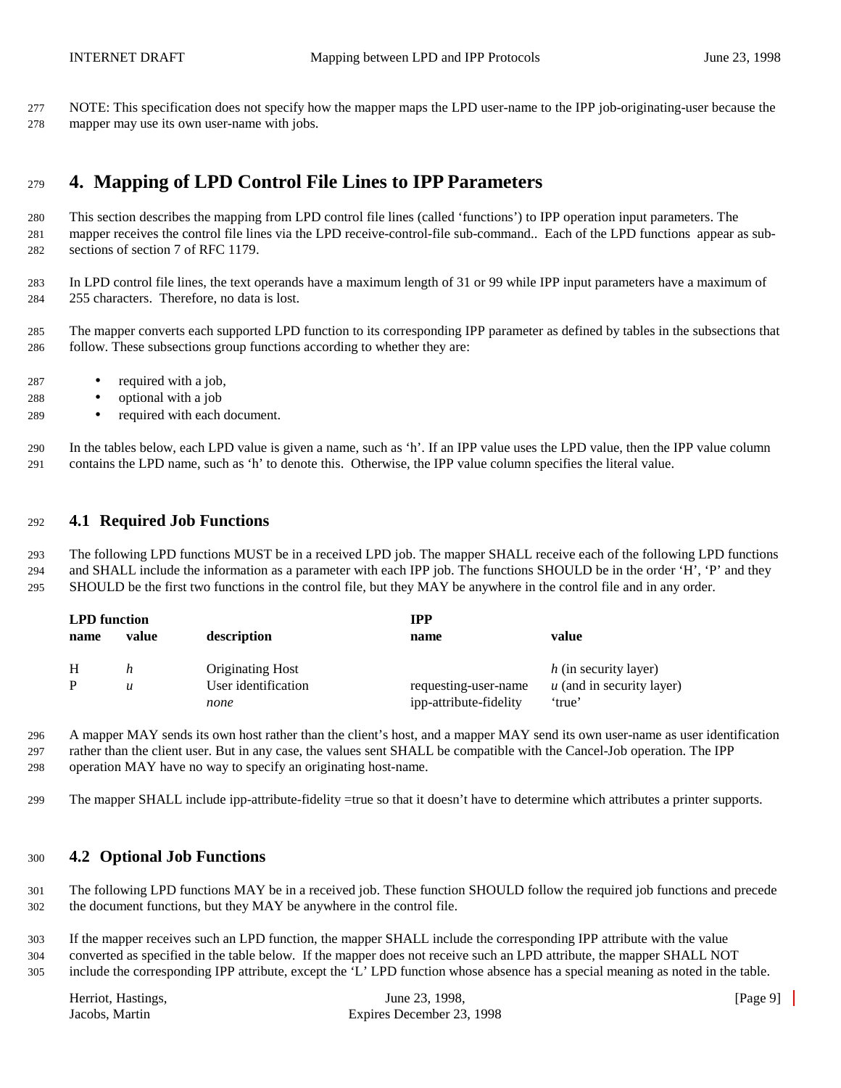NOTE: This specification does not specify how the mapper maps the LPD user-name to the IPP job-originating-user because the mapper may use its own user-name with jobs.

## **4. Mapping of LPD Control File Lines to IPP Parameters**

 This section describes the mapping from LPD control file lines (called 'functions') to IPP operation input parameters. The mapper receives the control file lines via the LPD receive-control-file sub-command.. Each of the LPD functions appear as sub-sections of section 7 of RFC 1179.

 In LPD control file lines, the text operands have a maximum length of 31 or 99 while IPP input parameters have a maximum of 255 characters. Therefore, no data is lost.

- The mapper converts each supported LPD function to its corresponding IPP parameter as defined by tables in the subsections that follow. These subsections group functions according to whether they are:
- required with a job,
- optional with a job
- required with each document.

 In the tables below, each LPD value is given a name, such as 'h'. If an IPP value uses the LPD value, then the IPP value column contains the LPD name, such as 'h' to denote this. Otherwise, the IPP value column specifies the literal value.

#### **4.1 Required Job Functions**

 The following LPD functions MUST be in a received LPD job. The mapper SHALL receive each of the following LPD functions and SHALL include the information as a parameter with each IPP job. The functions SHOULD be in the order 'H', 'P' and they SHOULD be the first two functions in the control file, but they MAY be anywhere in the control file and in any order.

| <b>LPD</b> function<br>value<br>name |   | description                                            | <b>IPP</b><br>name                             | value                                                          |  |
|--------------------------------------|---|--------------------------------------------------------|------------------------------------------------|----------------------------------------------------------------|--|
| H                                    | u | <b>Originating Host</b><br>User identification<br>none | requesting-user-name<br>ipp-attribute-fidelity | h (in security layer)<br>$u$ (and in security layer)<br>'true' |  |

 A mapper MAY sends its own host rather than the client's host, and a mapper MAY send its own user-name as user identification rather than the client user. But in any case, the values sent SHALL be compatible with the Cancel-Job operation. The IPP operation MAY have no way to specify an originating host-name.

The mapper SHALL include ipp-attribute-fidelity =true so that it doesn't have to determine which attributes a printer supports.

#### **4.2 Optional Job Functions**

 The following LPD functions MAY be in a received job. These function SHOULD follow the required job functions and precede the document functions, but they MAY be anywhere in the control file.

 If the mapper receives such an LPD function, the mapper SHALL include the corresponding IPP attribute with the value converted as specified in the table below. If the mapper does not receive such an LPD attribute, the mapper SHALL NOT include the corresponding IPP attribute, except the 'L' LPD function whose absence has a special meaning as noted in the table.

| Herriot, Hastings, | June 23, 1998.            | [Page 9] |
|--------------------|---------------------------|----------|
| Jacobs. Martin     | Expires December 23, 1998 |          |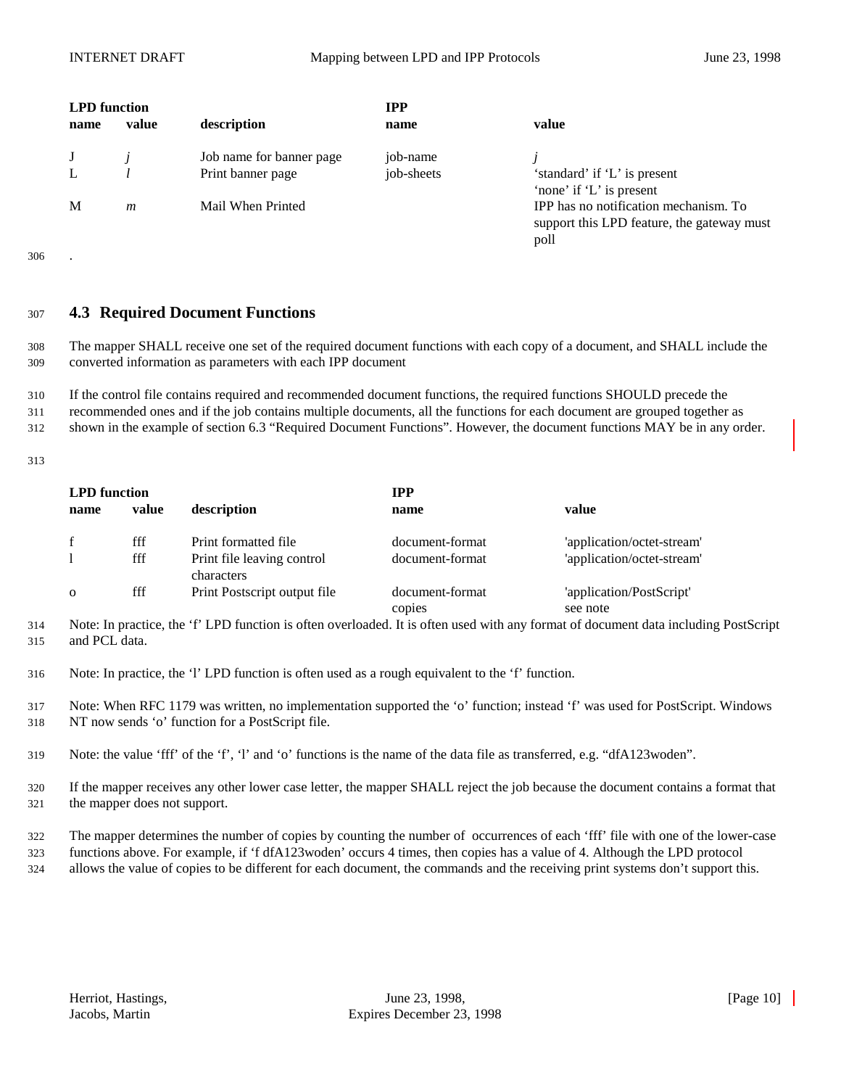| <b>LPD</b> function<br>name | value | description              | <b>IPP</b><br>name | value                                                                                       |
|-----------------------------|-------|--------------------------|--------------------|---------------------------------------------------------------------------------------------|
|                             |       | Job name for banner page | job-name           |                                                                                             |
|                             |       | Print banner page        | job-sheets         | 'standard' if 'L' is present<br>'none' if 'L' is present                                    |
| M                           | m     | Mail When Printed        |                    | IPP has no notification mechanism. To<br>support this LPD feature, the gateway must<br>poll |

#### <sup>307</sup> **4.3 Required Document Functions**

308 The mapper SHALL receive one set of the required document functions with each copy of a document, and SHALL include the 309 converted information as parameters with each IPP document

310 If the control file contains required and recommended document functions, the required functions SHOULD precede the 311 recommended ones and if the job contains multiple documents, all the functions for each document are grouped together as 312 shown in the example of section 6.3 "Required Document Functions". However, the document functions MAY be in any order.

313

| <b>LPD</b> function |       |                                          | <b>IPP</b>                |                                      |  |
|---------------------|-------|------------------------------------------|---------------------------|--------------------------------------|--|
| name                | value | description                              | name                      | value                                |  |
|                     | fff   | Print formatted file                     | document-format           | 'application/octet-stream'           |  |
|                     | fff   | Print file leaving control<br>characters | document-format           | 'application/octet-stream'           |  |
| $\mathbf{O}$        | fff   | Print Postscript output file             | document-format<br>copies | 'application/PostScript'<br>see note |  |

314 Note: In practice, the 'f' LPD function is often overloaded. It is often used with any format of document data including PostScript 315 and PCL data.

316 Note: In practice, the 'l' LPD function is often used as a rough equivalent to the 'f' function.

317 Note: When RFC 1179 was written, no implementation supported the 'o' function; instead 'f' was used for PostScript. Windows 318 NT now sends 'o' function for a PostScript file.

319 Note: the value 'fff' of the 'f', 'l' and 'o' functions is the name of the data file as transferred, e.g. "dfA123woden".

320 If the mapper receives any other lower case letter, the mapper SHALL reject the job because the document contains a format that 321 the mapper does not support.

322 The mapper determines the number of copies by counting the number of occurrences of each 'fff' file with one of the lower-case

323 functions above. For example, if 'f dfA123woden' occurs 4 times, then copies has a value of 4. Although the LPD protocol 324 allows the value of copies to be different for each document, the commands and the receiving print systems don't support this.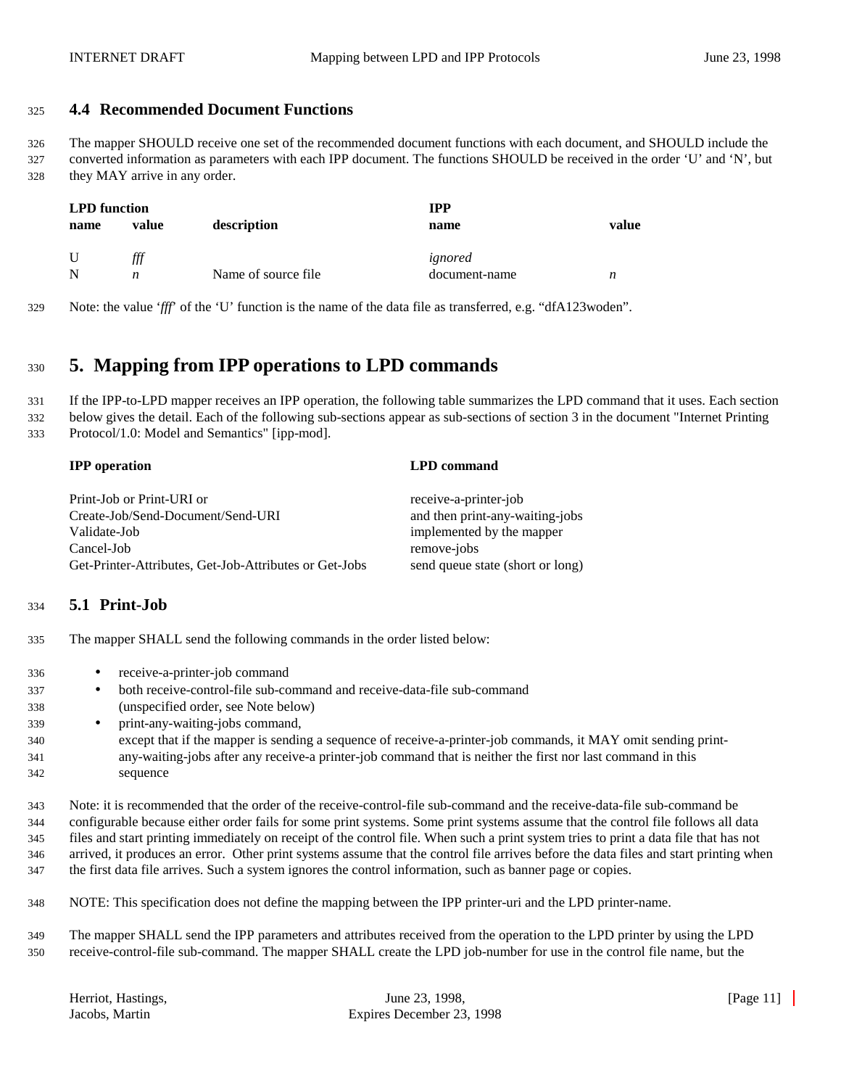#### **4.4 Recommended Document Functions**

 The mapper SHOULD receive one set of the recommended document functions with each document, and SHOULD include the converted information as parameters with each IPP document. The functions SHOULD be received in the order 'U' and 'N', but they MAY arrive in any order.

| <b>LPD</b> function |       |                     | IPP           |       |  |
|---------------------|-------|---------------------|---------------|-------|--|
| name                | value | description         | name          | value |  |
|                     |       |                     |               |       |  |
|                     | fff   |                     | ignored       |       |  |
|                     | n     | Name of source file | document-name | n     |  |

Note: the value '*fff*' of the 'U' function is the name of the data file as transferred, e.g. "dfA123woden".

## **5. Mapping from IPP operations to LPD commands**

 If the IPP-to-LPD mapper receives an IPP operation, the following table summarizes the LPD command that it uses. Each section below gives the detail. Each of the following sub-sections appear as sub-sections of section 3 in the document "Internet Printing

Protocol/1.0: Model and Semantics" [ipp-mod].

| <b>IPP</b> operation                                   | <b>LPD</b> command               |
|--------------------------------------------------------|----------------------------------|
| Print-Job or Print-URI or                              | receive-a-printer-job            |
| Create-Job/Send-Document/Send-URI                      | and then print-any-waiting-jobs  |
| Validate-Job                                           | implemented by the mapper        |
| Cancel-Job                                             | remove-jobs                      |
| Get-Printer-Attributes, Get-Job-Attributes or Get-Jobs | send queue state (short or long) |
|                                                        |                                  |

#### **5.1 Print-Job**

The mapper SHALL send the following commands in the order listed below:

- receive-a-printer-job command
- both receive-control-file sub-command and receive-data-file sub-command (unspecified order, see Note below)
- print-any-waiting-jobs command,
- except that if the mapper is sending a sequence of receive-a-printer-job commands, it MAY omit sending print- any-waiting-jobs after any receive-a printer-job command that is neither the first nor last command in this sequence

 Note: it is recommended that the order of the receive-control-file sub-command and the receive-data-file sub-command be configurable because either order fails for some print systems. Some print systems assume that the control file follows all data files and start printing immediately on receipt of the control file. When such a print system tries to print a data file that has not arrived, it produces an error. Other print systems assume that the control file arrives before the data files and start printing when the first data file arrives. Such a system ignores the control information, such as banner page or copies.

NOTE: This specification does not define the mapping between the IPP printer-uri and the LPD printer-name.

 The mapper SHALL send the IPP parameters and attributes received from the operation to the LPD printer by using the LPD receive-control-file sub-command. The mapper SHALL create the LPD job-number for use in the control file name, but the

| Herriot, Hastings, |  |
|--------------------|--|
| Jacobs, Martin     |  |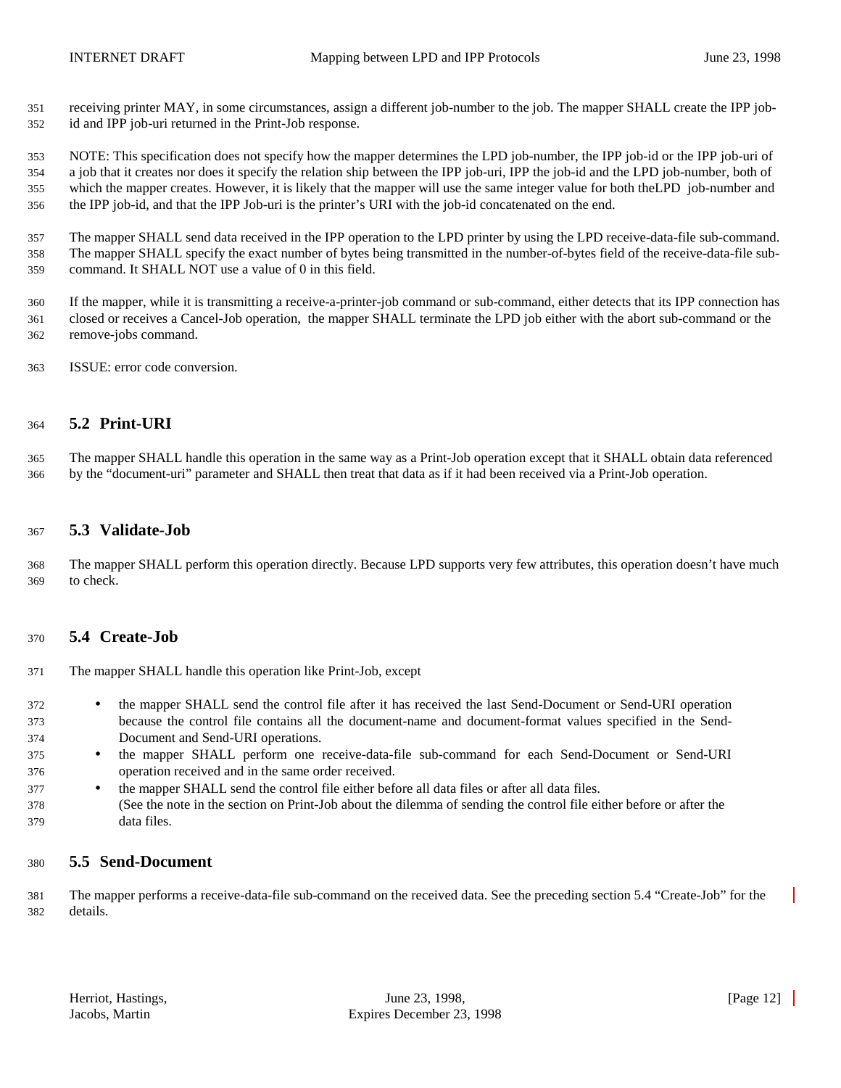receiving printer MAY, in some circumstances, assign a different job-number to the job. The mapper SHALL create the IPP job-id and IPP job-uri returned in the Print-Job response.

 NOTE: This specification does not specify how the mapper determines the LPD job-number, the IPP job-id or the IPP job-uri of a job that it creates nor does it specify the relation ship between the IPP job-uri, IPP the job-id and the LPD job-number, both of which the mapper creates. However, it is likely that the mapper will use the same integer value for both theLPD job-number and the IPP job-id, and that the IPP Job-uri is the printer's URI with the job-id concatenated on the end.

 The mapper SHALL send data received in the IPP operation to the LPD printer by using the LPD receive-data-file sub-command. The mapper SHALL specify the exact number of bytes being transmitted in the number-of-bytes field of the receive-data-file sub-command. It SHALL NOT use a value of 0 in this field.

 If the mapper, while it is transmitting a receive-a-printer-job command or sub-command, either detects that its IPP connection has closed or receives a Cancel-Job operation, the mapper SHALL terminate the LPD job either with the abort sub-command or the remove-jobs command.

ISSUE: error code conversion.

#### **5.2 Print-URI**

 The mapper SHALL handle this operation in the same way as a Print-Job operation except that it SHALL obtain data referenced by the "document-uri" parameter and SHALL then treat that data as if it had been received via a Print-Job operation.

#### **5.3 Validate-Job**

 The mapper SHALL perform this operation directly. Because LPD supports very few attributes, this operation doesn't have much to check.

#### **5.4 Create-Job**

The mapper SHALL handle this operation like Print-Job, except

- <sup>372</sup> the mapper SHALL send the control file after it has received the last Send-Document or Send-URI operation because the control file contains all the document-name and document-format values specified in the Send-Document and Send-URI operations.
- the mapper SHALL perform one receive-data-file sub-command for each Send-Document or Send-URI operation received and in the same order received.
- <sup>377</sup> the mapper SHALL send the control file either before all data files or after all data files.
- (See the note in the section on Print-Job about the dilemma of sending the control file either before or after the data files.

#### **5.5 Send-Document**

 The mapper performs a receive-data-file sub-command on the received data. See the preceding section 5.4 "Create-Job" for the details.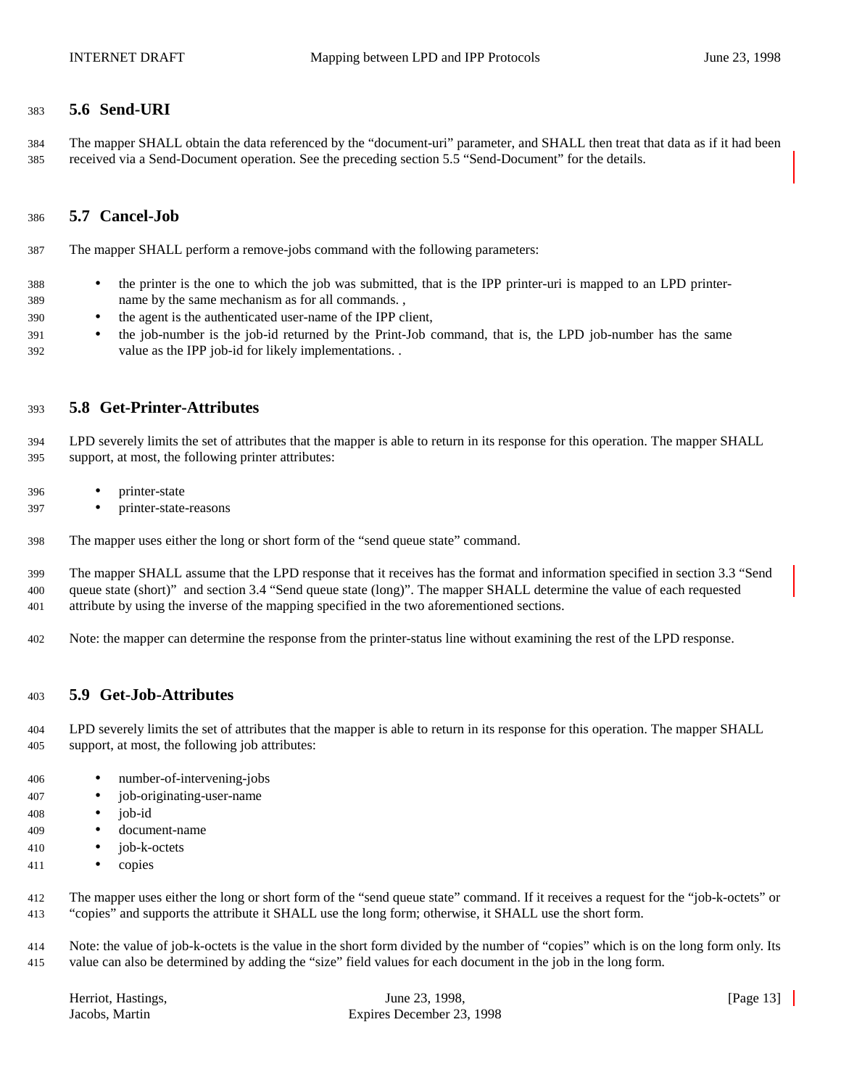#### **5.6 Send-URI**

 The mapper SHALL obtain the data referenced by the "document-uri" parameter, and SHALL then treat that data as if it had been received via a Send-Document operation. See the preceding section 5.5 "Send-Document" for the details.

#### **5.7 Cancel-Job**

The mapper SHALL perform a remove-jobs command with the following parameters:

- the printer is the one to which the job was submitted, that is the IPP printer-uri is mapped to an LPD printer-name by the same mechanism as for all commands. ,
- the agent is the authenticated user-name of the IPP client,
- <sup>391</sup> the job-number is the job-id returned by the Print-Job command, that is, the LPD job-number has the same value as the IPP job-id for likely implementations. .

#### **5.8 Get-Printer-Attributes**

 LPD severely limits the set of attributes that the mapper is able to return in its response for this operation. The mapper SHALL support, at most, the following printer attributes:

- printer-state
- printer-state-reasons
- The mapper uses either the long or short form of the "send queue state" command.

 The mapper SHALL assume that the LPD response that it receives has the format and information specified in section 3.3 "Send queue state (short)" and section 3.4 "Send queue state (long)". The mapper SHALL determine the value of each requested attribute by using the inverse of the mapping specified in the two aforementioned sections.

Note: the mapper can determine the response from the printer-status line without examining the rest of the LPD response.

#### **5.9 Get-Job-Attributes**

 LPD severely limits the set of attributes that the mapper is able to return in its response for this operation. The mapper SHALL support, at most, the following job attributes:

- number-of-intervening-jobs
- job-originating-user-name
- $i$ ob-id
- document-name
- job-k-octets
- copies

 The mapper uses either the long or short form of the "send queue state" command. If it receives a request for the "job-k-octets" or "copies" and supports the attribute it SHALL use the long form; otherwise, it SHALL use the short form.

 Note: the value of job-k-octets is the value in the short form divided by the number of "copies" which is on the long form only. Its value can also be determined by adding the "size" field values for each document in the job in the long form.

| Herriot, Hastings, |  |
|--------------------|--|
| Jacobs, Martin     |  |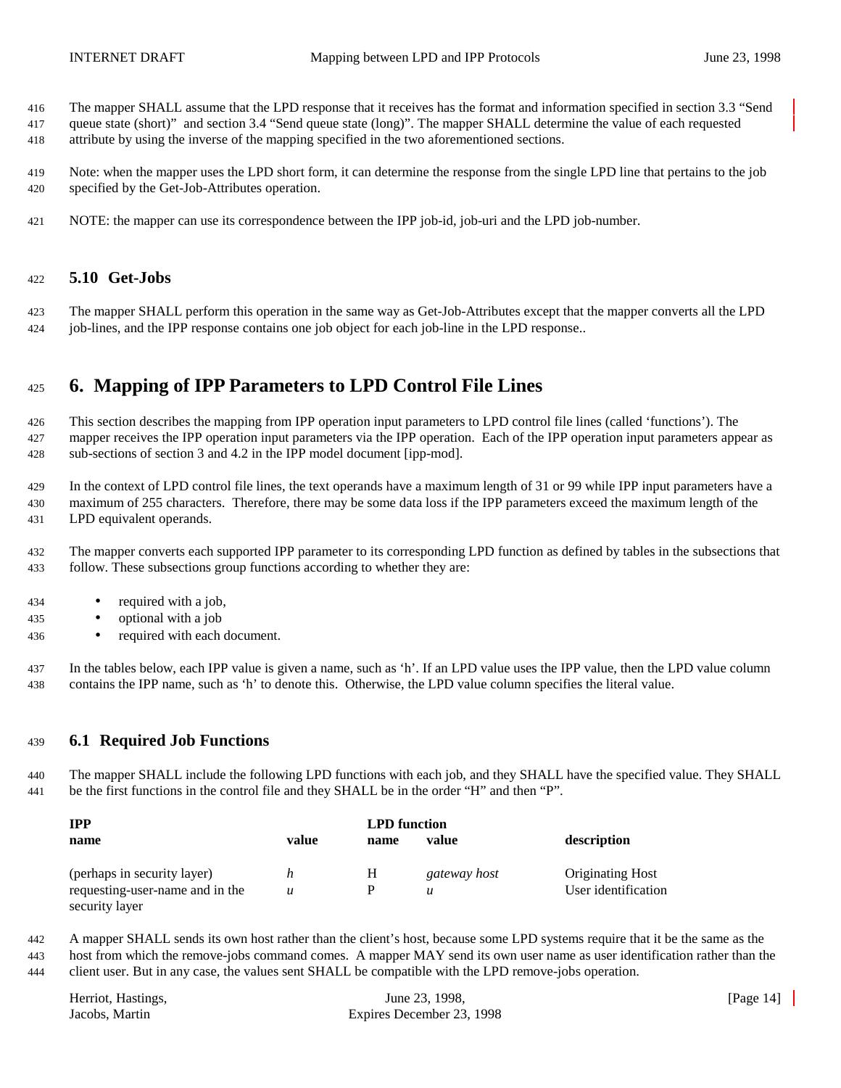- The mapper SHALL assume that the LPD response that it receives has the format and information specified in section 3.3 "Send
- queue state (short)" and section 3.4 "Send queue state (long)". The mapper SHALL determine the value of each requested attribute by using the inverse of the mapping specified in the two aforementioned sections.
- Note: when the mapper uses the LPD short form, it can determine the response from the single LPD line that pertains to the job specified by the Get-Job-Attributes operation.
- NOTE: the mapper can use its correspondence between the IPP job-id, job-uri and the LPD job-number.

#### **5.10 Get-Jobs**

 The mapper SHALL perform this operation in the same way as Get-Job-Attributes except that the mapper converts all the LPD job-lines, and the IPP response contains one job object for each job-line in the LPD response..

## **6. Mapping of IPP Parameters to LPD Control File Lines**

 This section describes the mapping from IPP operation input parameters to LPD control file lines (called 'functions'). The mapper receives the IPP operation input parameters via the IPP operation. Each of the IPP operation input parameters appear as sub-sections of section 3 and 4.2 in the IPP model document [ipp-mod].

 In the context of LPD control file lines, the text operands have a maximum length of 31 or 99 while IPP input parameters have a maximum of 255 characters. Therefore, there may be some data loss if the IPP parameters exceed the maximum length of the LPD equivalent operands.

 The mapper converts each supported IPP parameter to its corresponding LPD function as defined by tables in the subsections that follow. These subsections group functions according to whether they are:

- required with a job,
- optional with a job
- required with each document.

 In the tables below, each IPP value is given a name, such as 'h'. If an LPD value uses the IPP value, then the LPD value column contains the IPP name, such as 'h' to denote this. Otherwise, the LPD value column specifies the literal value.

#### **6.1 Required Job Functions**

 The mapper SHALL include the following LPD functions with each job, and they SHALL have the specified value. They SHALL be the first functions in the control file and they SHALL be in the order "H" and then "P".

| <b>TPP</b>                      |       | <b>LPD</b> function |                  |                         |
|---------------------------------|-------|---------------------|------------------|-------------------------|
| name                            | value | name                | value            | description             |
| (perhaps in security layer)     | n     | Н                   | gateway host     | <b>Originating Host</b> |
| requesting-user-name and in the | u     |                     | $\boldsymbol{u}$ | User identification     |
| security layer                  |       |                     |                  |                         |

 A mapper SHALL sends its own host rather than the client's host, because some LPD systems require that it be the same as the host from which the remove-jobs command comes. A mapper MAY send its own user name as user identification rather than the client user. But in any case, the values sent SHALL be compatible with the LPD remove-jobs operation.

| Herriot, Hastings, | June 23, 1998,            | [Page $14$ ] |
|--------------------|---------------------------|--------------|
| Jacobs, Martin     | Expires December 23, 1998 |              |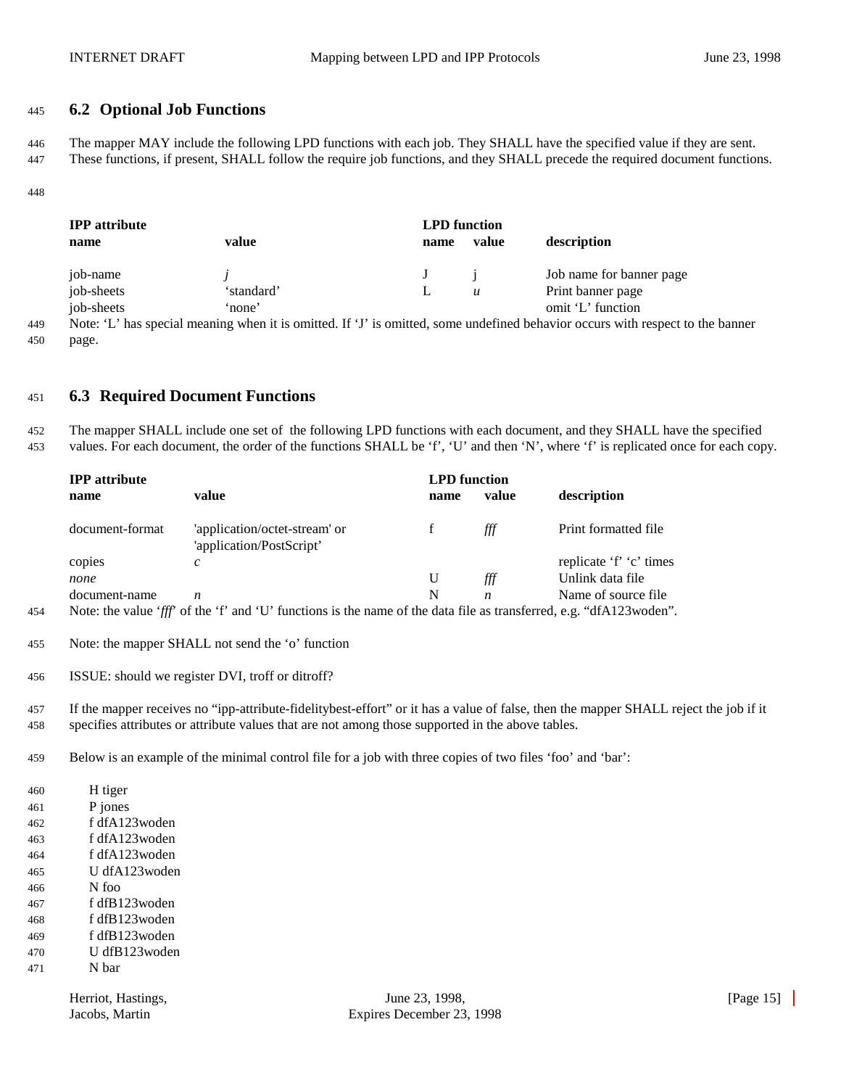#### **6.2 Optional Job Functions**

 The mapper MAY include the following LPD functions with each job. They SHALL have the specified value if they are sent. These functions, if present, SHALL follow the require job functions, and they SHALL precede the required document functions.

| <b>IPP</b> attribute |            | <b>LPD</b> function |       |                          |  |  |
|----------------------|------------|---------------------|-------|--------------------------|--|--|
| name                 | value      | name                | value | description              |  |  |
| job-name             |            |                     |       | Job name for banner page |  |  |
| job-sheets           | 'standard' |                     | u     | Print banner page        |  |  |
| job-sheets           | 'none'     |                     |       | omit 'L' function        |  |  |

 Note: 'L' has special meaning when it is omitted. If 'J' is omitted, some undefined behavior occurs with respect to the banner page.

#### **6.3 Required Document Functions**

 The mapper SHALL include one set of the following LPD functions with each document, and they SHALL have the specified values. For each document, the order of the functions SHALL be 'f', 'U' and then 'N', where 'f' is replicated once for each copy.

|     | <b>IPP</b> attribute |                                                                                                                     | <b>LPD</b> function |       |                         |
|-----|----------------------|---------------------------------------------------------------------------------------------------------------------|---------------------|-------|-------------------------|
|     | name                 | value                                                                                                               | name                | value | description             |
|     | document-format      | 'application/octet-stream' or<br>'application/PostScript'                                                           |                     | fff   | Print formatted file    |
|     | copies               | c                                                                                                                   |                     |       | replicate 'f' 'c' times |
|     | none                 |                                                                                                                     |                     | ∰     | Unlink data file        |
|     | document-name        | n                                                                                                                   | N                   | n.    | Name of source file     |
| 454 |                      | Note: the value 'fff' of the 'f' and 'U' functions is the name of the data file as transferred, e.g. "dfA123woden". |                     |       |                         |

Note: the mapper SHALL not send the 'o' function

ISSUE: should we register DVI, troff or ditroff?

 If the mapper receives no "ipp-attribute-fidelitybest-effort" or it has a value of false, then the mapper SHALL reject the job if it specifies attributes or attribute values that are not among those supported in the above tables.

Below is an example of the minimal control file for a job with three copies of two files 'foo' and 'bar':

| 460 | H tiger       |
|-----|---------------|
| 461 | P jones       |
| 462 | f dfA123woden |
| 463 | f dfA123woden |
| 464 | f dfA123woden |
| 465 | U dfA123woden |
| 466 | N foo         |
| 467 | f dfB123woden |
| 468 | f dfB123woden |
| 469 | f dfB123woden |
| 470 | U dfB123woden |
| 471 | N bar         |
|     |               |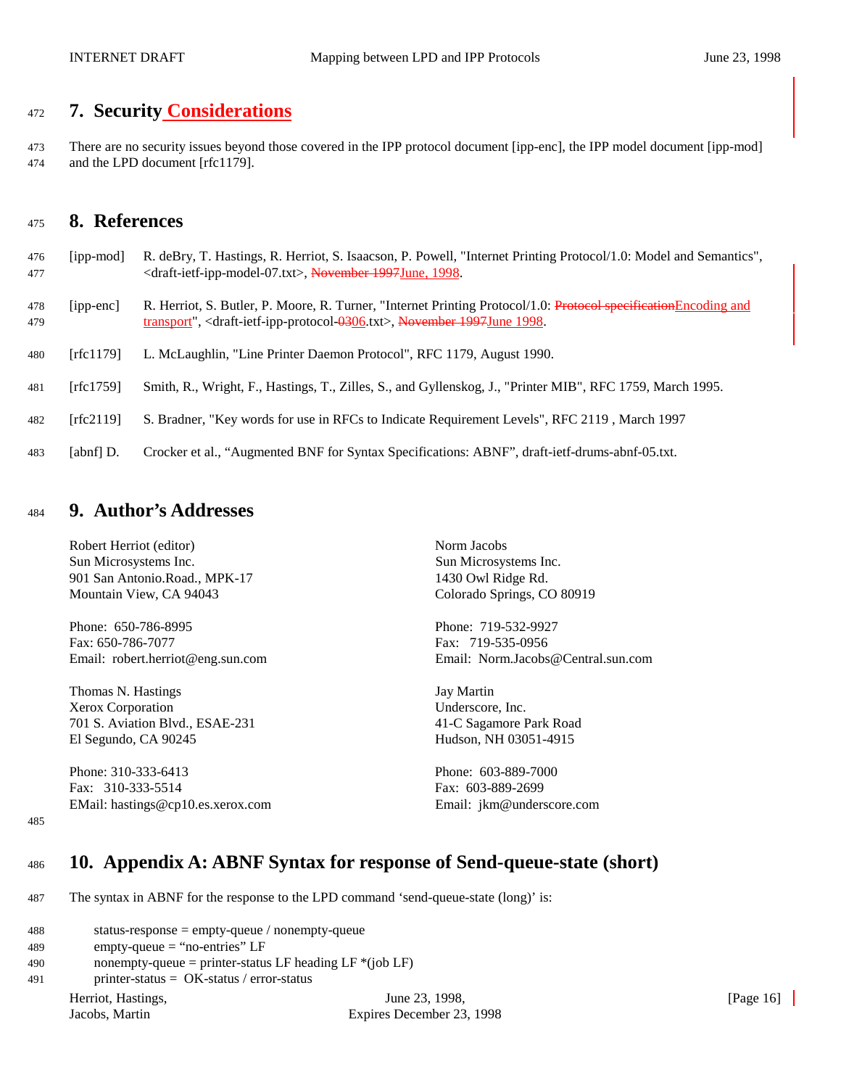## <sup>472</sup> **7. Security Considerations**

473 There are no security issues beyond those covered in the IPP protocol document [ipp-enc], the IPP model document [ipp-mod] 474 and the LPD document [rfc1179].

## <sup>475</sup> **8. References**

- 476 [ipp-mod] R. deBry, T. Hastings, R. Herriot, S. Isaacson, P. Powell, "Internet Printing Protocol/1.0: Model and Semantics", 477 <draft-ietf-ipp-model-07.txt>, November 1997June, 1998.
- 478 [ipp-enc] R. Herriot, S. Butler, P. Moore, R. Turner, "Internet Printing Protocol/1.0: Protocol specificationEncoding and 479 transport", <draft-ietf-ipp-protocol-0306.txt>, November 1997June 1998.
- 480 [rfc1179] L. McLaughlin, "Line Printer Daemon Protocol", RFC 1179, August 1990.
- 481 [rfc1759] Smith, R., Wright, F., Hastings, T., Zilles, S., and Gyllenskog, J., "Printer MIB", RFC 1759, March 1995.
- 482 [rfc2119] S. Bradner, "Key words for use in RFCs to Indicate Requirement Levels", RFC 2119 , March 1997
- 483 [abnf] D. Crocker et al., "Augmented BNF for Syntax Specifications: ABNF", draft-ietf-drums-abnf-05.txt.

### <sup>484</sup> **9. Author's Addresses**

Robert Herriot (editor) Norm Jacobs Sun Microsystems Inc. Sun Microsystems Inc. 901 San Antonio.Road., MPK-17 1430 Owl Ridge Rd. Mountain View, CA 94043 Colorado Springs, CO 80919

Phone: 650-786-8995 Phone: 719-532-9927 Fax: 650-786-7077 Fax: 719-535-0956

Thomas N. Hastings **I. Thomas N. Hastings Jay Martin** Xerox Corporation Underscore, Inc. 701 S. Aviation Blvd., ESAE-231 41-C Sagamore Park Road El Segundo, CA 90245 Hudson, NH 03051-4915

Phone: 310-333-6413 Phone: 603-889-7000 Fax: 310-333-5514 Fax: 603-889-2699 EMail: hastings@cp10.es.xerox.com Email: jkm@underscore.com

Email: robert.herriot@eng.sun.com Email: Norm.Jacobs@Central.sun.com

485

## <sup>486</sup> **10. Appendix A: ABNF Syntax for response of Send-queue-state (short)**

487 The syntax in ABNF for the response to the LPD command 'send-queue-state (long)' is:

| 488 | status-response = $empty$ -queue / nonempty-queue                 |                           |              |
|-----|-------------------------------------------------------------------|---------------------------|--------------|
| 489 | $empty\text{-}queue = "no\text{-}entries" LF$                     |                           |              |
| 490 | nonempty-queue = printer-status LF heading LF $*(job \text{ LF})$ |                           |              |
| 491 | printer-status = $OK$ -status / error-status                      |                           |              |
|     | Herriot, Hastings,                                                | June 23, 1998,            | [Page $16$ ] |
|     | Jacobs, Martin                                                    | Expires December 23, 1998 |              |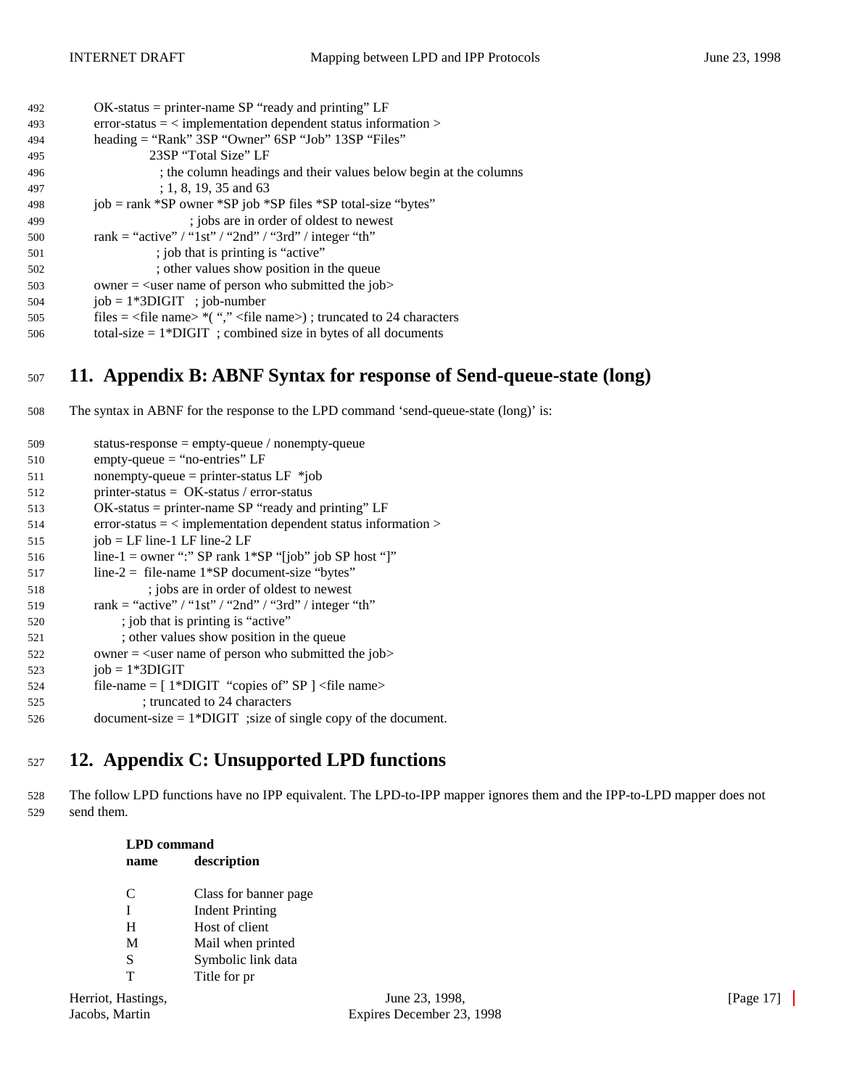| 492 | $OK$ -status = printer-name SP "ready and printing" LF                                  |  |
|-----|-----------------------------------------------------------------------------------------|--|
| 493 | $error-status = \langle implementation\text{ dependent status information}\rangle$      |  |
| 494 | heading = "Rank" 3SP "Owner" 6SP "Job" 13SP "Files"                                     |  |
| 495 | 23SP "Total Size" LF                                                                    |  |
| 496 | ; the column headings and their values below begin at the columns                       |  |
| 497 | $: 1, 8, 19, 35$ and 63                                                                 |  |
| 498 | job = rank *SP owner *SP job *SP files *SP total-size "bytes"                           |  |
| 499 | ; jobs are in order of oldest to newest                                                 |  |
| 500 | rank = "active" / "1st" / "2nd" / "3rd" / integer "th"                                  |  |
| 501 | ; job that is printing is "active"                                                      |  |
| 502 | ; other values show position in the queue                                               |  |
| 503 | owner $=$ $\leq$ user name of person who submitted the job>                             |  |
| 504 | $job = 1*3DIGIT$ ; job-number                                                           |  |
| 505 | files = $\langle$ file name> $*($ "," $\langle$ file name>); truncated to 24 characters |  |
| 506 | total-size $= 1*DIGIT$ ; combined size in bytes of all documents                        |  |
|     |                                                                                         |  |

## <sup>507</sup> **11. Appendix B: ABNF Syntax for response of Send-queue-state (long)**

508 The syntax in ABNF for the response to the LPD command 'send-queue-state (long)' is:

| 509 | status-response = $empty$ -queue / nonempty-queue                                  |
|-----|------------------------------------------------------------------------------------|
| 510 | $empty-queue = "no-entries" LF$                                                    |
| 511 | nonempty-queue = printer-status LF $*job$                                          |
| 512 | $\text{ printer-status} = \text{OK-status} / \text{error-status}$                  |
| 513 | $OK$ -status = printer-name SP "ready and printing" LF                             |
| 514 | $error-status = \langle implementation\text{ dependent status information}\rangle$ |
| 515 | $job = LF$ line-1 LF line-2 LF                                                     |
| 516 | line-1 = owner ":" SP rank $1*SP$ "[job" job SP host "]"                           |
| 517 | line-2 = file-name $1*SP$ document-size "bytes"                                    |
| 518 | ; jobs are in order of oldest to newest                                            |
| 519 | rank = "active" / "1st" / "2nd" / "3rd" / integer "th"                             |
| 520 | ; job that is printing is "active"                                                 |
| 521 | ; other values show position in the queue                                          |
| 522 | owner $=$ $\leq$ user name of person who submitted the job>                        |
| 523 | job = $1*3$ DIGIT                                                                  |
| 524 | file-name = $[1*DIGIT$ "copies of" SP $]$ < file name>                             |
| 525 | ; truncated to 24 characters                                                       |
| 526 | document-size $= 1*$ DIGIT ; size of single copy of the document.                  |
|     |                                                                                    |
|     |                                                                                    |

## <sup>527</sup> **12. Appendix C: Unsupported LPD functions**

528 The follow LPD functions have no IPP equivalent. The LPD-to-IPP mapper ignores them and the IPP-to-LPD mapper does not 529 send them.

## **LPD command name description** C Class for banner page I Indent Printing H Host of client M Mail when printed S Symbolic link data T Title for pr